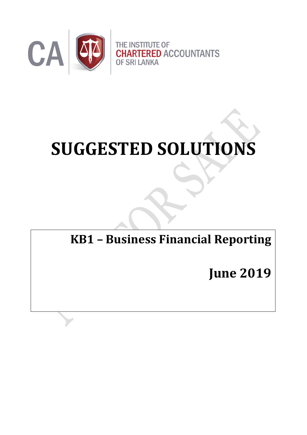

# **SUGGESTED SOLUTIONS**

**KB1 – Business Financial Reporting**

**June 2019**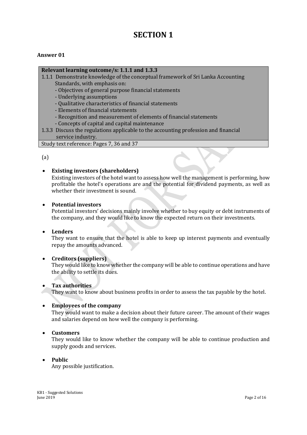# **SECTION 1**

#### **Answer 01**

#### **Relevant learning outcome/s: 1.1.1 and 1.3.3**

- 1.1.1 Demonstrate knowledge of the conceptual framework of Sri Lanka Accounting Standards, with emphasis on:
	- Objectives of general purpose financial statements
	- Underlying assumptions
	- Qualitative characteristics of financial statements
	- Elements of financial statements
	- Recognition and measurement of elements of financial statements
	- Concepts of capital and capital maintenance
- 1.3.3 Discuss the regulations applicable to the accounting profession and financial service industry.

Study text reference: Pages 7, 36 and 37

(a)

#### **Existing investors (shareholders)**

Existing investors of the hotel want to assess how well the management is performing, how profitable the hotel's operations are and the potential for dividend payments, as well as whether their investment is sound.

#### **Potential investors**

Potential investors' decisions mainly involve whether to buy equity or debt instruments of the company, and they would like to know the expected return on their investments.

#### **Lenders**

They want to ensure that the hotel is able to keep up interest payments and eventually repay the amounts advanced.

#### **Creditors (suppliers)**

They would like to know whether the company will be able to continue operations and have the ability to settle its dues.

#### **Tax authorities**

They want to know about business profits in order to assess the tax payable by the hotel.

#### **Employees of the company**

They would want to make a decision about their future career. The amount of their wages and salaries depend on how well the company is performing.

#### **Customers**

They would like to know whether the company will be able to continue production and supply goods and services.

#### **Public**

Any possible justification.

KB1 - Suggested Solutions<br>June 2019 June 2019 Page 2 of 16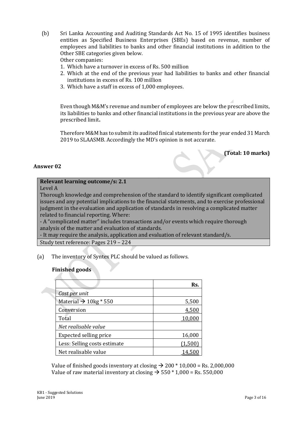(b) Sri Lanka Accounting and Auditing Standards Act No. 15 of 1995 identifies business entities as Specified Business Enterprises (SBEs) based on revenue, number of employees and liabilities to banks and other financial institutions in addition to the Other SBE categories given below.

Other companies:

- 1. Which have a turnover in excess of Rs. 500 million
- 2. Which at the end of the previous year had liabilities to banks and other financial institutions in excess of Rs. 100 million
- 3. Which have a staff in excess of 1,000 employees.

Even though M&M's revenue and number of employees are below the prescribed limits, its liabilities to banks and other financial institutions in the previous year are above the prescribed limit**.**

Therefore M&M has to submit its audited finical statements for the year ended 31 March 2019 to SLAASMB. Accordingly the MD's opinion is not accurate.

#### **(Total: 10 marks)**

#### **Answer 02**

#### **Relevant learning outcome/s: 2.1**

Level A

Thorough knowledge and comprehension of the standard to identify significant complicated issues and any potential implications to the financial statements, and to exercise professional judgment in the evaluation and application of standards in resolving a complicated matter related to financial reporting. Where:

- A "complicated matter" includes transactions and/or events which require thorough analysis of the matter and evaluation of standards.

- It may require the analysis, application and evaluation of relevant standard/s.

Study text reference: Pages 219 – 224

(a) The inventory of Syntex PLC should be valued as follows.

#### **Finished goods**

|                                     | Rs.    |
|-------------------------------------|--------|
| Cost per unit                       |        |
| Material $\rightarrow$ 10kg $*$ 550 | 5,500  |
| Conversion                          | 4,500  |
| Total                               | 10,000 |
| Net realisable value                |        |
| Expected selling price              | 16,000 |
| Less: Selling costs estimate        | (1.500 |
| Net realisable value                |        |

Value of finished goods inventory at closing  $\rightarrow$  200  $*$  10,000 = Rs. 2,000,000 Value of raw material inventory at closing  $\rightarrow$  550  $*$  1,000 = Rs. 550,000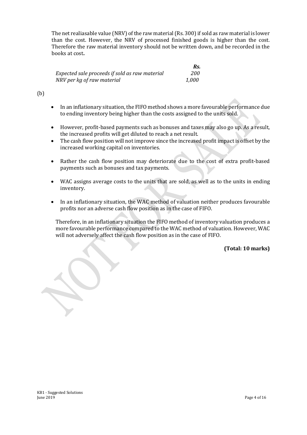The net realiasable value (NRV) of the raw material (Rs. 300) if sold as raw material is lower than the cost. However, the NRV of processed finished goods is higher than the cost. Therefore the raw material inventory should not be written down, and be recorded in the books at cost**.**

|                                                | Rs.   |
|------------------------------------------------|-------|
| Expected sale proceeds if sold as raw material | 200   |
| NRV per kg of raw material                     | 1.000 |

#### (b)

- In an inflationary situation, the FIFO method shows a more favourable performance due to ending inventory being higher than the costs assigned to the units sold.
- However, profit-based payments such as bonuses and taxes may also go up. As a result, the increased profits will get diluted to reach a net result.
- The cash flow position will not improve since the increased profit impact is offset by the increased working capital on inventories.
- Rather the cash flow position may deteriorate due to the cost of extra profit-based payments such as bonuses and tax payments.
- WAC assigns average costs to the units that are sold, as well as to the units in ending inventory.
- In an inflationary situation, the WAC method of valuation neither produces favourable profits nor an adverse cash flow position as in the case of FIFO.

Therefore, in an inflationary situation the FIFO method of inventory valuation produces a more favourable performance compared to the WAC method of valuation. However, WAC will not adversely affect the cash flow position as in the case of FIFO.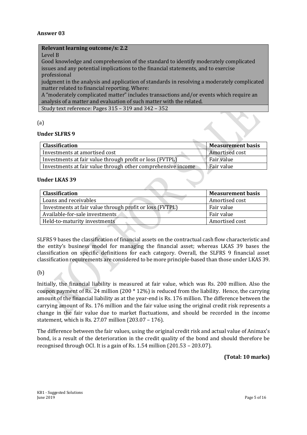#### **Relevant learning outcome/s: 2.2**

#### Level B

Good knowledge and comprehension of the standard to identify moderately complicated issues and any potential implications to the financial statements, and to exercise professional

judgment in the analysis and application of standards in resolving a moderately complicated matter related to financial reporting. Where:

A "moderately complicated matter" includes transactions and/or events which require an analysis of a matter and evaluation of such matter with the related.

Study text reference: Pages 315 – 319 and 342 – 352

#### (a)

#### **Under SLFRS 9**

| <b>Classification</b>                                        | <b>Measurement basis</b> |
|--------------------------------------------------------------|--------------------------|
| Investments at amortised cost                                | Amortised cost           |
| Investments at fair value through profit or loss (FVTPL)     | Fair value               |
| Investments at fair value through other comprehensive income | Fair value               |

#### **Under LKAS 39**

| <b>Classification</b>                                    | <b>Measurement basis</b> |
|----------------------------------------------------------|--------------------------|
| Loans and receivables                                    | Amortised cost           |
| Investments at fair value through profit or loss (FVTPL) | Fair value               |
| Available-for-sale investments                           | Fair value               |
| Held-to-maturity investments                             | Amortised cost           |

SLFRS 9 bases the classification of financial assets on the contractual cash flow characteristic and the entity's business model for managing the financial asset; whereas LKAS 39 bases the classification on specific definitions for each category. Overall, the SLFRS 9 financial asset classification requirements are considered to be more principle-based than those under LKAS 39.

#### (b)

Initially, the financial liability is measured at fair value, which was Rs. 200 million. Also the coupon payment of Rs. 24 million  $(200 * 12\%)$  is reduced from the liability. Hence, the carrying amount of the financial liability as at the year-end is Rs. 176 million. The difference between the carrying amount of Rs. 176 million and the fair value using the original credit risk represents a change in the fair value due to market fluctuations, and should be recorded in the income statement, which is Rs. 27.07 million (203.07 – 176).

The difference between the fair values, using the original credit risk and actual value of Animax's bond, is a result of the deterioration in the credit quality of the bond and should therefore be recognised through OCI. It is a gain of Rs. 1.54 million (201.53 – 203.07).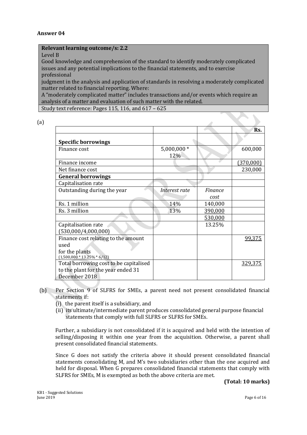#### **Relevant learning outcome/s: 2.2**

Level B

Good knowledge and comprehension of the standard to identify moderately complicated issues and any potential implications to the financial statements, and to exercise professional

judgment in the analysis and application of standards in resolving a moderately complicated matter related to financial reporting. Where:

A "moderately complicated matter" includes transactions and/or events which require an analysis of a matter and evaluation of such matter with the related.

Study text reference: Pages 115, 116, and 617 – 625

| P. |         |
|----|---------|
|    | I       |
|    | _       |
|    | i<br>۰, |

|                                        |                    |         | Rs.       |
|----------------------------------------|--------------------|---------|-----------|
| <b>Specific borrowings</b>             |                    |         |           |
| Finance cost                           | 5,000,000 *<br>12% |         | 600,000   |
| Finance income                         |                    |         | (370,000) |
| Net finance cost                       |                    |         | 230,000   |
| <b>General borrowings</b>              |                    |         |           |
| Capitalisation rate                    |                    |         |           |
| Outstanding during the year            | Interest rate      | Finance |           |
|                                        |                    | cost    |           |
| Rs. 1 million                          | 14%                | 140,000 |           |
| Rs. 3 million                          | 13%                | 390,000 |           |
|                                        |                    | 530,000 |           |
| Capitalisation rate                    |                    | 13.25%  |           |
| (530,000/4,000,000)                    |                    |         |           |
| Finance cost relating to the amount    |                    |         | 99,375    |
| used                                   |                    |         |           |
| for the plants                         |                    |         |           |
| $(1,500,000 * 13.25\% * 6/12)$         |                    |         |           |
| Total borrowing cost to be capitalised |                    |         | 329,375   |
| to the plant for the year ended 31     |                    |         |           |
| December 2018                          |                    |         |           |

- (b) Per Section 9 of SLFRS for SMEs, a parent need not present consolidated financial statements if:
	- (i) the parent itself is a subsidiary, and
	- (ii) its ultimate/intermediate parent produces consolidated general purpose financial statements that comply with full SLFRS or SLFRS for SMEs.

Further, a subsidiary is not consolidated if it is acquired and held with the intention of selling/disposing it within one year from the acquisition. Otherwise, a parent shall present consolidated financial statements.

Since G does not satisfy the criteria above it should present consolidated financial statements consolidating M, and M's two subsidiaries other than the one acquired and held for disposal. When G prepares consolidated financial statements that comply with SLFRS for SMEs, M is exempted as both the above criteria are met.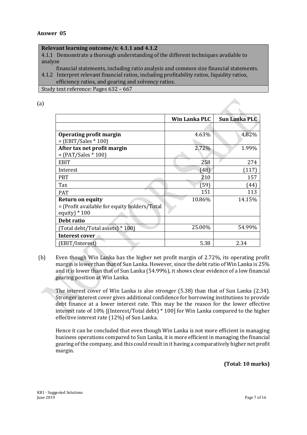#### **Relevant learning outcome/s: 4.1.1 and 4.1.2**

4.1.1 Demonstrate a thorough understanding of the different techniques available to analyse

financial statements, including ratio analysis and common size financial statements.

4.1.2 Interpret relevant financial ratios, including profitability ratios, liquidity ratios, efficiency ratios, and gearing and solvency ratios.

Study text reference: Pages 632 – 667

(a)

|                                              | Win Lanka PLC | <b>Sun Lanka PLC</b> |
|----------------------------------------------|---------------|----------------------|
|                                              |               |                      |
| <b>Operating profit margin</b>               | 4.63%         | 4.82%                |
| $=$ (EBIT/Sales $*$ 100)                     |               |                      |
| After tax net profit margin                  | 2.72%         | 1.99%                |
| $= (PAT/Sales * 100)$                        |               |                      |
| <b>EBIT</b>                                  | 258           | 274                  |
| Interest                                     | (48)          | (117)                |
| <b>PBT</b>                                   | 210           | 157                  |
| Tax                                          | (59)          | (44)                 |
| <b>PAT</b>                                   | 151           | 113                  |
| <b>Return on equity</b>                      | 10.86%        | 14.15%               |
| = (Profit available for equity holders/Total |               |                      |
| equity) $*100$                               |               |                      |
| Debt ratio                                   |               |                      |
| (Total debt/Total assets) * 100)             | 25.00%        | 54.99%               |
| Interest cover                               |               |                      |
| (EBIT/Interest)                              | 5.38          | 2.34                 |

(b) Even though Win Lanka has the higher net profit margin of 2.72%, its operating profit margin is lower than that of Sun Lanka. However, since the debt ratio of Win Lanka is 25% and it is lower than that of Sun Lanka (54.99%), it shows clear evidence of a low financial gearing position at Win Lanka.

The interest cover of Win Lanka is also stronger (5.38) than that of Sun Lanka (2.34). Stronger interest cover gives additional confidence for borrowing institutions to provide debt finance at a lower interest rate. This may be the reason for the lower effective interest rate of 10% [(Interest/Total debt) \* 100] for Win Lanka compared to the higher effective interest rate (12%) of Sun Lanka.

Hence it can be concluded that even though Win Lanka is not more efficient in managing business operations compared to Sun Lanka, it is more efficient in managing the financial gearing of the company, and this could result in it having a comparatively higher net profit margin.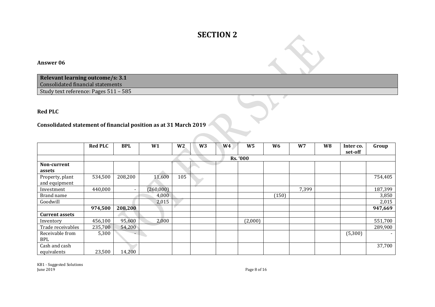# **SECTION 2**

#### **Answer 06**

**Relevant learning outcome/s: 3.1** Consolidated financial statements

Study text reference: Pages 511 – 585

#### **Red PLC**

#### **Consolidated statement of financial position as at 31 March 2019**

|                       | <b>Red PLC</b> | <b>BPL</b> | W1        | W <sub>2</sub> | W <sub>3</sub> | W <sub>4</sub> | W <sub>5</sub>  | W <sub>6</sub> | W <sub>7</sub> | W <sub>8</sub> | Inter co.<br>set-off | Group   |
|-----------------------|----------------|------------|-----------|----------------|----------------|----------------|-----------------|----------------|----------------|----------------|----------------------|---------|
|                       |                |            |           |                |                |                | <b>Rs. '000</b> |                |                |                |                      |         |
| Non-current           |                |            |           |                |                |                |                 |                |                |                |                      |         |
| assets                |                |            |           |                |                |                |                 |                |                |                |                      |         |
| Property, plant       | 534,500        | 208,200    | 11,600    | 105            |                |                |                 |                |                |                |                      | 754,405 |
| and equipment         |                |            |           |                |                |                |                 |                |                |                |                      |         |
| Investment            | 440,000        | -          | (260,000) |                |                |                |                 |                | 7,399          |                |                      | 187,399 |
| Brand name            |                |            | 4,000     |                |                |                |                 | (150)          |                |                |                      | 3,850   |
| Goodwill              |                |            | 2,015     |                |                |                |                 |                |                |                |                      | 2,015   |
|                       | 974,500        | 208,200    |           |                |                |                |                 |                |                |                |                      | 947,669 |
| <b>Current assets</b> |                |            |           |                |                |                |                 |                |                |                |                      |         |
| Inventory             | 456,100        | 95,600     | 2,000     |                |                |                | (2,000)         |                |                |                |                      | 551,700 |
| Trade receivables     | 235,700        | 54,200     |           |                |                |                |                 |                |                |                |                      | 289,900 |
| Receivable from       | 5,300          | $\sim$     |           |                |                |                |                 |                |                |                | (5,300)              |         |
| <b>BPL</b>            |                |            |           |                |                |                |                 |                |                |                |                      |         |
| Cash and cash         |                |            |           |                |                |                |                 |                |                |                |                      | 37,700  |
| equivalents           | 23,500         | 14,200     |           |                |                |                |                 |                |                |                |                      |         |

KB1 - Suggested Solutions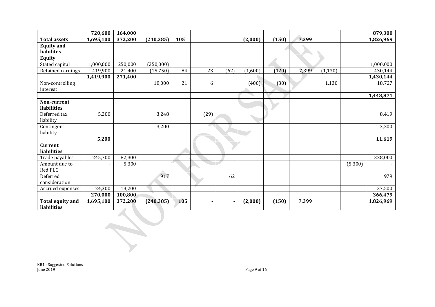|                                        | 720,600   | 164,000 |            |     |      |      |         |       |       |          |         | 879,300   |
|----------------------------------------|-----------|---------|------------|-----|------|------|---------|-------|-------|----------|---------|-----------|
| <b>Total assets</b>                    | 1,695,100 | 372,200 | (240, 385) | 105 |      |      | (2,000) | (150) | 7,399 |          |         | 1,826,969 |
| <b>Equity and</b><br>liabilites        |           |         |            |     |      |      |         |       |       |          |         |           |
| <b>Equity</b>                          |           |         |            |     |      |      |         |       |       |          |         |           |
| Stated capital                         | 1,000,000 | 250,000 | (250,000)  |     |      |      |         |       |       |          |         | 1,000,000 |
| Retained earnings                      | 419,900   | 21,400  | (15, 750)  | 84  | 23   | (62) | (1,600) | (120) | 7,399 | (1, 130) |         | 430,144   |
|                                        | 1,419,900 | 271,400 |            |     |      |      |         |       |       |          |         | 1,430,144 |
| Non-controlling<br>interest            |           |         | 18,000     | 21  | 6    |      | (400)   | (30)  |       | 1,130    |         | 18,727    |
|                                        |           |         |            |     |      |      |         |       |       |          |         | 1,448,871 |
| Non-current                            |           |         |            |     |      |      |         |       |       |          |         |           |
| liabilities                            |           |         |            |     |      |      |         |       |       |          |         |           |
| Deferred tax<br>liability              | 5,200     |         | 3,248      |     | (29) |      |         |       |       |          |         | 8,419     |
| Contingent<br>liability                |           |         | 3,200      |     | c.   |      |         |       |       |          |         | 3,200     |
|                                        | 5,200     |         |            |     |      |      |         |       |       |          |         | 11,619    |
| <b>Current</b><br>liabilities          |           |         |            |     |      |      |         |       |       |          |         |           |
| Trade payables                         | 245,700   | 82,300  |            |     |      |      |         |       |       |          |         | 328,000   |
| Amount due to<br>Red PLC               |           | 5,300   |            |     |      |      |         |       |       |          | (5,300) |           |
| Deferred<br>consideration              |           |         | 917        |     |      | 62   |         |       |       |          |         | 979       |
| Accrued expenses                       | 24,300    | 13,200  |            |     |      |      |         |       |       |          |         | 37,500    |
|                                        | 270,000   | 100,800 |            |     |      |      |         |       |       |          |         | 366,479   |
| <b>Total equity and</b><br>liabilities | 1,695,100 | 372,200 | (240, 385) | 105 |      |      | (2,000) | (150) | 7,399 |          |         | 1,826,969 |

KB1 - Suggested Solutions June 2019 Page 9 of 16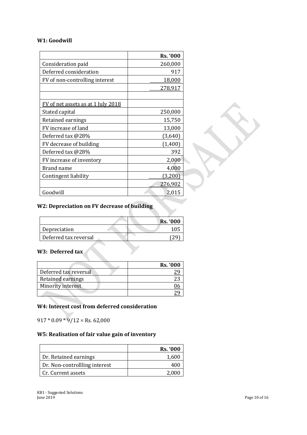#### **W1: Goodwill**

|                                           | <b>Rs. '000</b> |
|-------------------------------------------|-----------------|
| Consideration paid                        | 260,000         |
| Deferred consideration                    | 917             |
| FV of non-controlling interest            | 18,000          |
|                                           | 278,917         |
|                                           |                 |
| <u>FV of net assets as at 1 July 2018</u> |                 |
| Stated capital                            | 250,000         |
| Retained earnings                         | 15,750          |
| FV increase of land                       | 13,000          |
| Deferred tax @28%                         | (3,640)         |
| FV decrease of building                   | (1,400)         |
| Deferred tax @28%                         | 392             |
| FV increase of inventory                  | 2,000           |
| Brand name                                | 4,000           |
| Contingent liability                      | (3,200)         |
|                                           | <u>276,902</u>  |
| Goodwill                                  | 2,015           |

#### **W2: Depreciation on FV decrease of building**

| Depreciation          |  |                 |
|-----------------------|--|-----------------|
|                       |  | <b>Rs.</b> '000 |
|                       |  |                 |
| Deferred tax reversal |  |                 |

# **W3: Deferred tax**

|                       | <b>Rs.</b> '000 |
|-----------------------|-----------------|
| Deferred tax reversal |                 |
| Retained earnings     |                 |
| Minority interest     |                 |
|                       |                 |

#### **W4: Interest cost from deferred consideration**

 $917 * 0.09 * 9/12 =$  Rs. 62,000

## **W5: Realisation of fair value gain of inventory**

|                               | <b>Rs. '000</b> |
|-------------------------------|-----------------|
| Dr. Retained earnings         | 1,600           |
| Dr. Non-controllling interest |                 |
| Cr. Current assets            | 2,000           |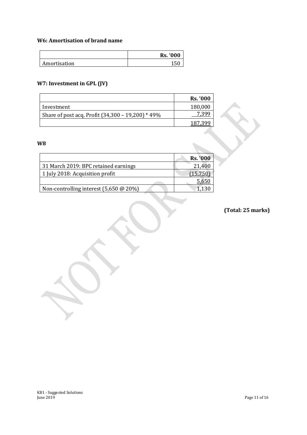#### **W6: Amortisation of brand name**

|              | <b>Rs. '000</b> |
|--------------|-----------------|
| Amortisation | 1 <sub>L</sub>  |

# **W7: Investment in GPL (JV)**

|                                                   | <b>Rs.</b> '000 |
|---------------------------------------------------|-----------------|
| Investment                                        | 180,000         |
| Share of post acq. Profit (34,300 - 19,200) * 49% |                 |
|                                                   |                 |

## **W8**

|                                             | <b>Rs. '000</b> |
|---------------------------------------------|-----------------|
| 31 March 2019: BPC retained earnings        | 21,400          |
| 1 July 2018: Acquisition profit             | (15,750)        |
|                                             | 5,650           |
| Non-controlling interest $(5,650 \ @ 20\%)$ | 1.130           |

# **(Total: 25 marks)**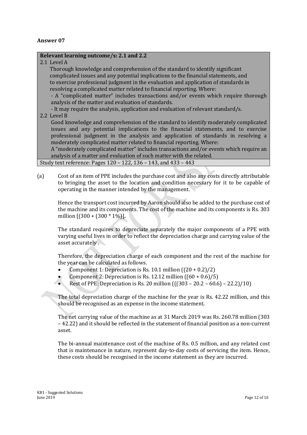#### **Relevant learning outcome/s: 2.1 and 2.2**

2.1 Level A

 Thorough knowledge and comprehension of the standard to identify significant complicated issues and any potential implications to the financial statements, and to exercise professional judgment in the evaluation and application of standards in resolving a complicated matter related to financial reporting. Where:

- A "complicated matter" includes transactions and/or events which require thorough analysis of the matter and evaluation of standards.

- It may require the analysis, application and evaluation of relevant standard/s.

2.2 Level B

Good knowledge and comprehension of the standard to identify moderately complicated issues and any potential implications to the financial statements, and to exercise professional judgment in the analysis and application of standards in resolving a moderately complicated matter related to financial reporting. Where:

A "moderately complicated matter" includes transactions and/or events which require an analysis of a matter and evaluation of such matter with the related.

Study text reference: Pages 120 – 122, 136 – 143, and 433 – 443

(a) Cost of an item of PPE includes the purchase cost and also any costs directly attributable to bringing the asset to the location and condition necessary for it to be capable of operating in the manner intended by the management.

Hence the transport cost incurred by Aaron should also be added to the purchase cost of the machine and its components. The cost of the machine and its components is Rs. 303 million [(300 + (300 \* 1%)]**.**

The standard requires to depreciate separately the major components of a PPE with varying useful lives in order to reflect the depreciation charge and carrying value of the asset accurately .

Therefore, the depreciation charge of each component and the rest of the machine for the year can be calculated as follows.

- Component 1: Depreciation is Rs. 10.1 million  $((20 + 0.2)/2)$
- Component 2: Depreciation is Rs. 12.12 million  $(60 + 0.6)/5$ )
- Rest of PPE: Depreciation is Rs. 20 million (((303 20.2 60.6) 22.2)/10)

The total depreciation charge of the machine for the year is Rs. 42.22 million, and this should be recognised as an expense in the income statement.

The net carrying value of the machine as at 31 March 2019 was Rs. 260.78 million (303 – 42.22) and it should be reflected in the statement of financial position as a non-current asset.

The bi-annual maintenance cost of the machine of Rs. 0.5 million, and any related cost that is maintenance in nature, represent day-to-day costs of servicing the item. Hence, these costs should be recognised in the income statement as they are incurred.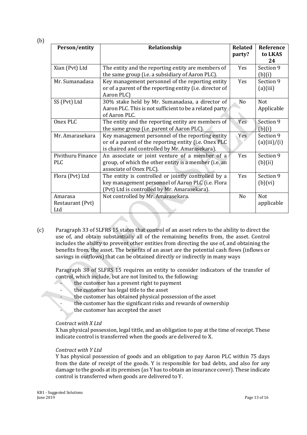(b)

| Person/entity                      | Relationship                                                                                                                                                | <b>Related</b><br>party? | Reference<br>to LKAS      |
|------------------------------------|-------------------------------------------------------------------------------------------------------------------------------------------------------------|--------------------------|---------------------------|
|                                    |                                                                                                                                                             |                          | 24                        |
| Xian (Pvt) Ltd                     | The entity and the reporting entity are members of<br>the same group (i.e. a subsidiary of Aaron PLC).                                                      | <b>Yes</b>               | Section 9<br>(b)(i)       |
| Mr. Sumanadasa                     | Key management personnel of the reporting entity<br>or of a parent of the reporting entity (i.e. director of<br>Aaron PLC)                                  | Yes                      | Section 9<br>(a)(iii)     |
| SS (Pvt) Ltd                       | 30% stake held by Mr. Sumanadasa, a director of<br>Aaron PLC. This is not sufficient to be a related party<br>of Aaron PLC.                                 | N <sub>0</sub>           | <b>Not</b><br>Applicable  |
| Onex PLC                           | The entity and the reporting entity are members of<br>the same group (i.e. parent of Aaron PLC).                                                            | Yes                      | Section 9<br>(b)(i)       |
| Mr. Amarasekara                    | Key management personnel of the reporting entity<br>or of a parent of the reporting entity (i.e. Onex PLC<br>is chaired and controlled by Mr. Amarasekara). | Yes                      | Section 9<br>(a)(iii)/(i) |
| Pivithuru Finance<br><b>PLC</b>    | An associate or joint venture of a member of a<br>group, of which the other entity is a member (i.e. an<br>associate of Onex PLC).                          | Yes                      | Section 9<br>(b)(ii)      |
| Flora (Pvt) Ltd                    | The entity is controlled or jointly controlled by a<br>key management personnel of Aaron PLC (i.e. Flora<br>(Pvt) Ltd is controlled by Mr. Amarasekara).    | Yes                      | Section 9<br>(b)(vi)      |
| Amarasa<br>Restaurant (Pvt)<br>Ltd | Not controlled by Mr. Amarasekara.                                                                                                                          | No                       | <b>Not</b><br>applicable  |

(c) Paragraph 33 of SLFRS 15 states that control of an asset refers to the ability to direct the use of, and obtain substantially all of the remaining benefits from, the asset. Control includes the ability to prevent other entities from directing the use of, and obtaining the benefits from, the asset. The benefits of an asset are the potential cash flows (inflows or savings in outflows) that can be obtained directly or indirectly in many ways

Paragraph 38 of SLFRS 15 requires an entity to consider indicators of the transfer of control, which include, but are not limited to, the following:

- the customer has a present right to payment
- the customer has legal title to the asset
- the customer has obtained physical possession of the asset
	- the customer has the significant risks and rewards of ownership
	- the customer has accepted the asset

#### *Contract with X Ltd*

X has physical possession, legal tittle, and an obligation to pay at the time of receipt. These indicate control is transferred when the goods are delivered to X.

#### *Contract with Y Ltd*

Y has physical possession of goods and an obligation to pay Aaron PLC within 75 days from the date of receipt of the goods. Y is responsible for bad debts, and also for any damage to the goods at its premises (as Y has to obtain an insurance cover). These indicate control is transferred when goods are delivered to Y.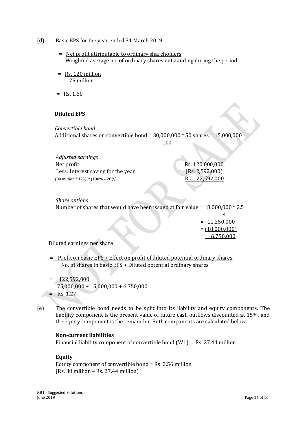- (d) Basic EPS for the year ended 31 March 2019
	- = Net profit attributable to ordinary shareholders Weighted average no. of ordinary shares outstanding during the period
	- = Rs. 120 million 75 million
	- $=$  Rs. 1.60

#### **Diluted EPS**

*Convertible bond* Additional shares on convertible bond = 30,000,000 \* 50 shares = 15,000,000

100

*Adjusted earnings*   $Net profit = Rs. 120,000,000$ Less: Interest saving for the year  $=$   $(Rs. 2,592,000)$ (30 million \* 12% \* (100% – 28%)Rs. 122,592,000

*Share options* Number of shares that would have been issued at fair value = 18,000,000 \* 2.5

|  | $= 11,250,000$   |
|--|------------------|
|  | $= (18,000,000)$ |
|  | $= 6,750,000$    |
|  |                  |

Diluted earnings per share

= Profit on basic EPS + Effect on profit of diluted potential ordinary shares No. of shares in basic EPS + Diluted potential ordinary shares

- $= 122,592,000$  75,000,000 + 15,000,000 + 6,750,000  $=$  Rs. 1.27
- (e) The convertible bond needs to be split into its liability and equity components. The liability component is the present value of future cash outflows discounted at 15%, and the equity component is the remainder. Both components are calculated below.

#### **Non-current liabilities**

Financial liability component of convertible bond (W1) = Rs. 27.44 million

## **Equity**

Equity component of convertible bond = Rs. 2.56 million (Rs. 30 million – Rs. 27.44 million)

KB1 - Suggested Solutions<br>June 2019 June 2019 Page 14 of 16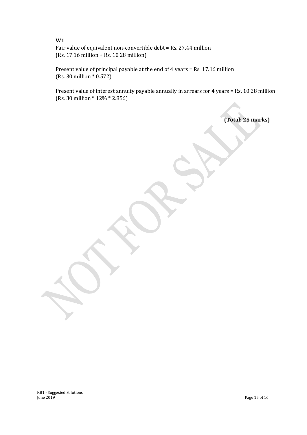**W1** Fair value of equivalent non-convertible debt = Rs. 27.44 million (Rs. 17.16 million + Rs. 10.28 million)

Present value of principal payable at the end of 4 years = Rs. 17.16 million (Rs. 30 million \* 0.572)

Present value of interest annuity payable annually in arrears for 4 years = Rs. 10.28 million (Rs. 30 million \* 12% \* 2.856)

**(Total: 25 marks)**